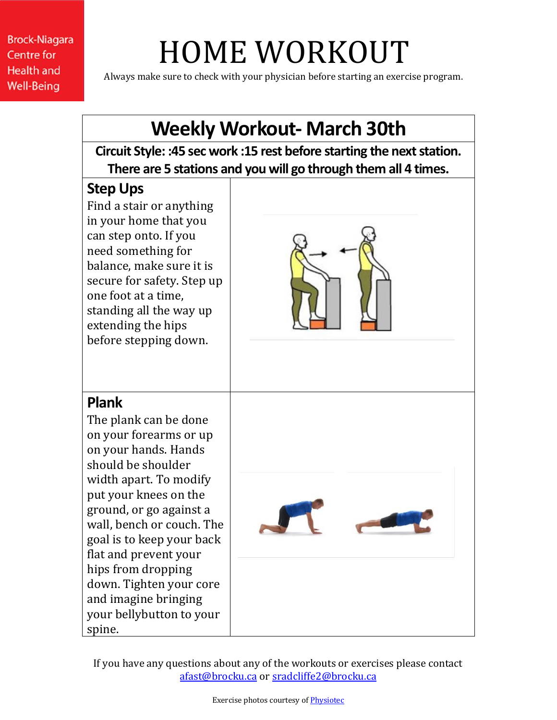**Brock-Niagara Centre for Health and Well-Being** 

## HOME WORKOUT

Always make sure to check with your physician before starting an exercise program.

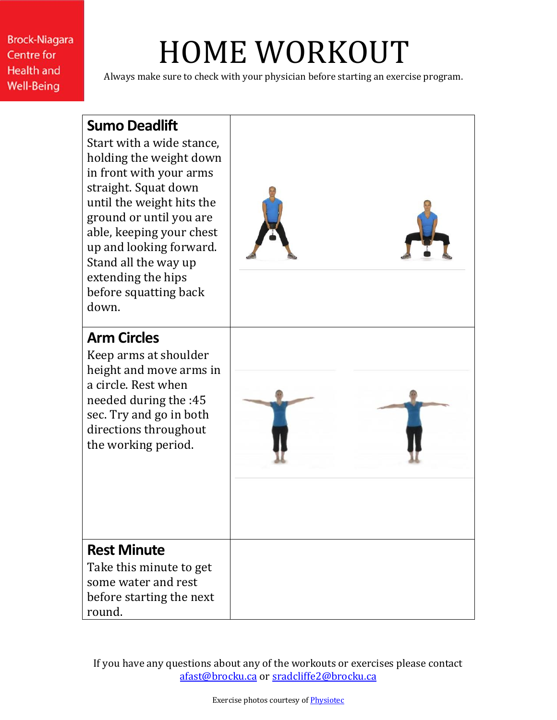**Brock-Niagara Centre for Health and Well-Being** 

## HOME WORKOUT

Always make sure to check with your physician before starting an exercise program.

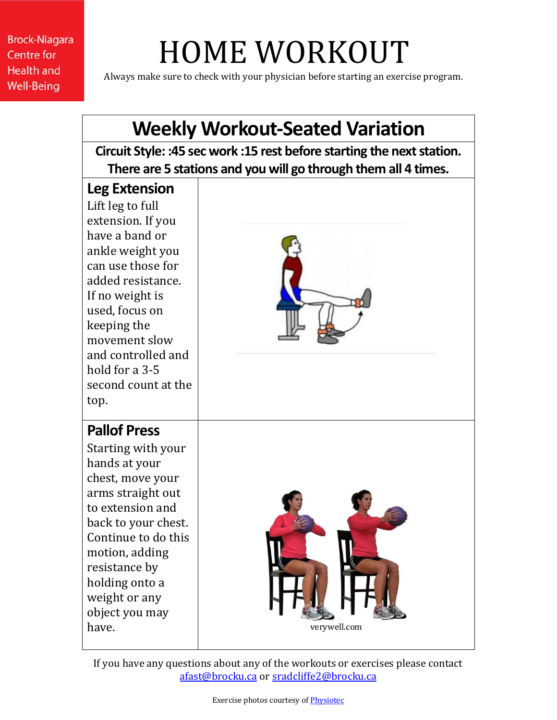**Brock-Niagara Centre for Health and Well-Being** 

## HOME WORKOUT

Always make sure to check with your physician before starting an exercise program.